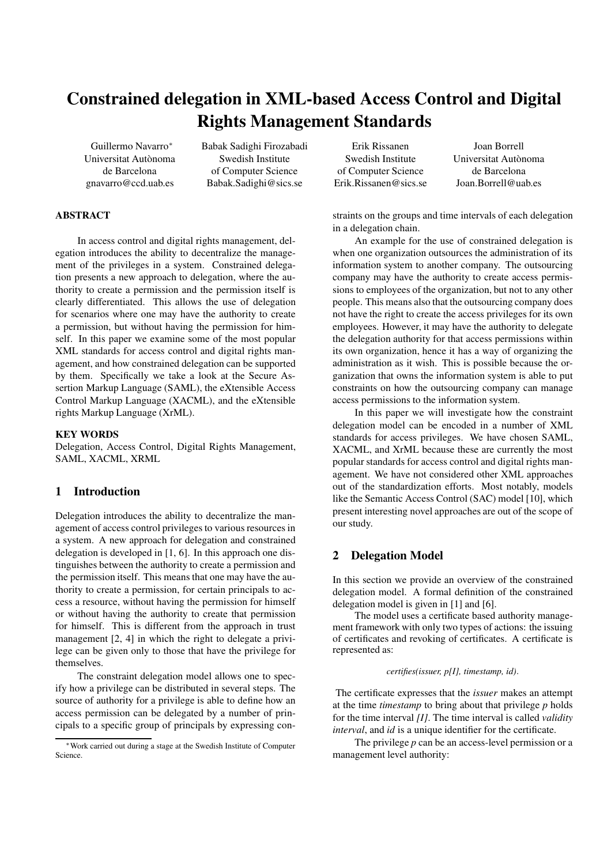# **Constrained delegation in XML-based Access Control and Digital Rights Management Standards**

Guillermo Navarro<sup>∗</sup> Universitat Autonoma ` de Barcelona gnavarro@ccd.uab.es Babak Sadighi Firozabadi Swedish Institute of Computer Science Babak.Sadighi@sics.se

Erik Rissanen Swedish Institute of Computer Science Erik.Rissanen@sics.se

Joan Borrell Universitat Autonoma ` de Barcelona Joan.Borrell@uab.es

#### **ABSTRACT**

In access control and digital rights management, delegation introduces the ability to decentralize the management of the privileges in a system. Constrained delegation presents a new approach to delegation, where the authority to create a permission and the permission itself is clearly differentiated. This allows the use of delegation for scenarios where one may have the authority to create a permission, but without having the permission for himself. In this paper we examine some of the most popular XML standards for access control and digital rights management, and how constrained delegation can be supported by them. Specifically we take a look at the Secure Assertion Markup Language (SAML), the eXtensible Access Control Markup Language (XACML), and the eXtensible rights Markup Language (XrML).

#### **KEY WORDS**

Delegation, Access Control, Digital Rights Management, SAML, XACML, XRML

# **1 Introduction**

Delegation introduces the ability to decentralize the management of access control privileges to various resources in a system. A new approach for delegation and constrained delegation is developed in [1, 6]. In this approach one distinguishes between the authority to create a permission and the permission itself. This means that one may have the authority to create a permission, for certain principals to access a resource, without having the permission for himself or without having the authority to create that permission for himself. This is different from the approach in trust management [2, 4] in which the right to delegate a privilege can be given only to those that have the privilege for themselves.

The constraint delegation model allows one to specify how a privilege can be distributed in several steps. The source of authority for a privilege is able to define how an access permission can be delegated by a number of principals to a specific group of principals by expressing constraints on the groups and time intervals of each delegation in a delegation chain.

An example for the use of constrained delegation is when one organization outsources the administration of its information system to another company. The outsourcing company may have the authority to create access permissions to employees of the organization, but not to any other people. This means also that the outsourcing company does not have the right to create the access privileges for its own employees. However, it may have the authority to delegate the delegation authority for that access permissions within its own organization, hence it has a way of organizing the administration as it wish. This is possible because the organization that owns the information system is able to put constraints on how the outsourcing company can manage access permissions to the information system.

In this paper we will investigate how the constraint delegation model can be encoded in a number of XML standards for access privileges. We have chosen SAML, XACML, and XrML because these are currently the most popular standards for access control and digital rights management. We have not considered other XML approaches out of the standardization efforts. Most notably, models like the Semantic Access Control (SAC) model [10], which present interesting novel approaches are out of the scope of our study.

# **2 Delegation Model**

In this section we provide an overview of the constrained delegation model. A formal definition of the constrained delegation model is given in [1] and [6].

The model uses a certificate based authority management framework with only two types of actions: the issuing of certificates and revoking of certificates. A certificate is represented as:

#### *certifies(issuer, p[I], timestamp, id)*.

The certificate expresses that the *issuer* makes an attempt at the time *timestamp* to bring about that privilege *p* holds for the time interval *[I]*. The time interval is called *validity interval*, and *id* is a unique identifier for the certificate.

The privilege *p* can be an access-level permission or a management level authority:

<sup>∗</sup>Work carried out during a stage at the Swedish Institute of Computer Science.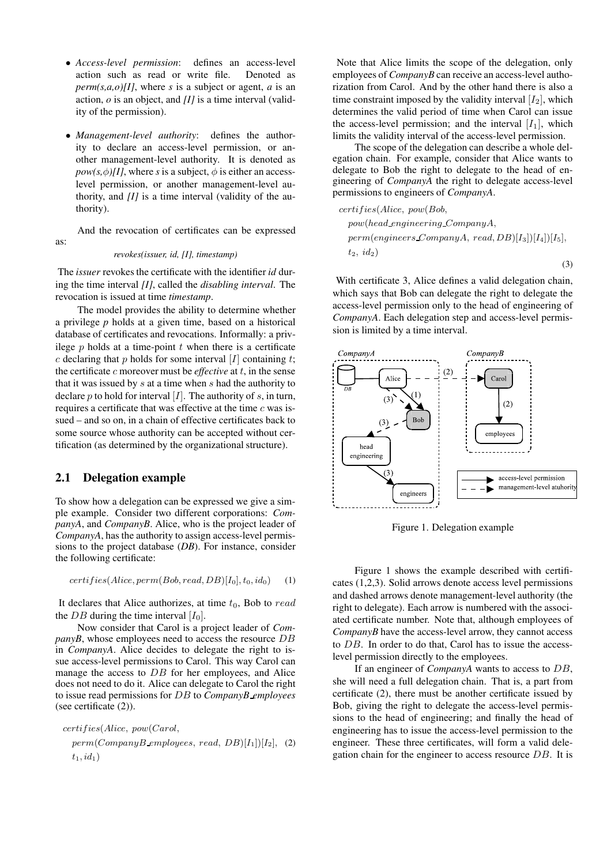- *Access-level permission*: defines an access-level action such as read or write file. Denoted as *perm(s,a,o)[I]*, where *s* is a subject or agent, *a* is an action, *o* is an object, and *[I]* is a time interval (validity of the permission).
- *Management-level authority*: defines the authority to declare an access-level permission, or another management-level authority. It is denoted as  $pow(s, \phi)[I]$ , where *s* is a subject,  $\phi$  is either an accesslevel permission, or another management-level authority, and *[I]* is a time interval (validity of the authority).

And the revocation of certificates can be expressed as:

#### *revokes(issuer, id, [I], timestamp)*

The *issuer* revokes the certificate with the identifier *id* during the time interval *[I]*, called the *disabling interval*. The revocation is issued at time *timestamp*.

The model provides the ability to determine whether a privilege *p* holds at a given time, based on a historical database of certificates and revocations. Informally: a privilege  $p$  holds at a time-point  $t$  when there is a certificate c declaring that p holds for some interval [I] containing t; the certificate c moreover must be *effective* at t, in the sense that it was issued by s at a time when s had the authority to declare  $p$  to hold for interval  $[I]$ . The authority of  $s$ , in turn, requires a certificate that was effective at the time c was issued – and so on, in a chain of effective certificates back to some source whose authority can be accepted without certification (as determined by the organizational structure).

## **2.1 Delegation example**

To show how a delegation can be expressed we give a simple example. Consider two different corporations: *CompanyA*, and *CompanyB*. Alice, who is the project leader of *CompanyA*, has the authority to assign access-level permissions to the project database (*DB*). For instance, consider the following certificate:

$$
certifies(Alice, perm(Bob, read, DB)[I_0], t_0, id_0) \qquad (1)
$$

It declares that Alice authorizes, at time  $t_0$ , Bob to read the DB during the time interval  $[I_0]$ .

Now consider that Carol is a project leader of *CompanyB*, whose employees need to access the resource DB in *CompanyA*. Alice decides to delegate the right to issue access-level permissions to Carol. This way Carol can manage the access to DB for her employees, and Alice does not need to do it. Alice can delegate to Carol the right to issue read permissions for DB to *CompanyB employees* (see certificate (2)).

certifies(Alice, pow(Carol,

 $perm(CompanyB$  employees, read,  $DB)[I_1])[I_2]$ , (2)  $t_1, id_1)$ 

Note that Alice limits the scope of the delegation, only employees of *CompanyB* can receive an access-level authorization from Carol. And by the other hand there is also a time constraint imposed by the validity interval  $[I_2]$ , which determines the valid period of time when Carol can issue the access-level permission; and the interval  $[I_1]$ , which limits the validity interval of the access-level permission.

The scope of the delegation can describe a whole delegation chain. For example, consider that Alice wants to delegate to Bob the right to delegate to the head of engineering of *CompanyA* the right to delegate access-level permissions to engineers of *CompanyA*.

$$
certifies(Alice, pow(Bob,pow(head_engineering_CompanyA,perm(engineers_CompanyA, read, DB)[I3][I4])[I5],t2, id2)
$$
\n(3)

With certificate 3, Alice defines a valid delegation chain, which says that Bob can delegate the right to delegate the access-level permission only to the head of engineering of *CompanyA*. Each delegation step and access-level permission is limited by a time interval.



Figure 1. Delegation example

Figure 1 shows the example described with certificates (1,2,3). Solid arrows denote access level permissions and dashed arrows denote management-level authority (the right to delegate). Each arrow is numbered with the associated certificate number. Note that, although employees of *CompanyB* have the access-level arrow, they cannot access to DB. In order to do that, Carol has to issue the accesslevel permission directly to the employees.

If an engineer of *CompanyA* wants to access to DB, she will need a full delegation chain. That is, a part from certificate (2), there must be another certificate issued by Bob, giving the right to delegate the access-level permissions to the head of engineering; and finally the head of engineering has to issue the access-level permission to the engineer. These three certificates, will form a valid delegation chain for the engineer to access resource DB. It is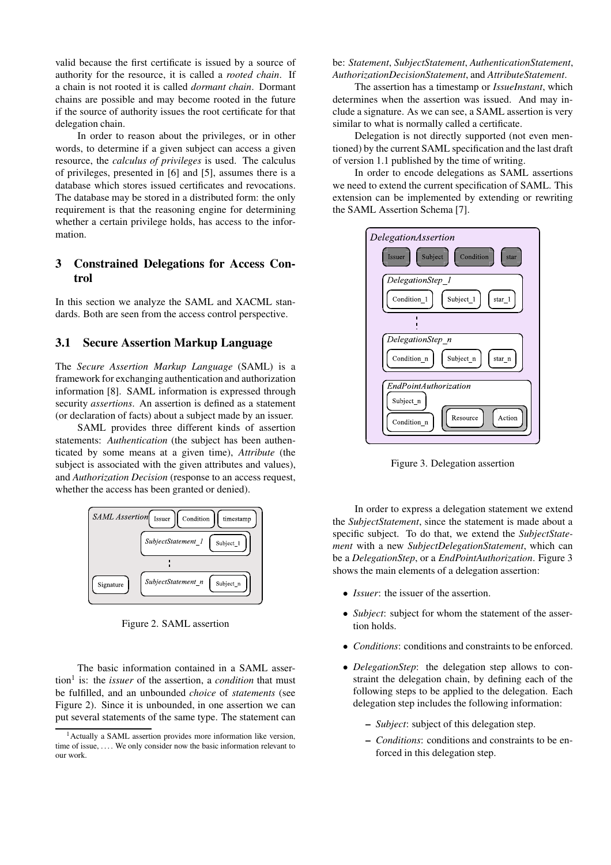valid because the first certificate is issued by a source of authority for the resource, it is called a *rooted chain*. If a chain is not rooted it is called *dormant chain*. Dormant chains are possible and may become rooted in the future if the source of authority issues the root certificate for that delegation chain.

In order to reason about the privileges, or in other words, to determine if a given subject can access a given resource, the *calculus of privileges* is used. The calculus of privileges, presented in [6] and [5], assumes there is a database which stores issued certificates and revocations. The database may be stored in a distributed form: the only requirement is that the reasoning engine for determining whether a certain privilege holds, has access to the information.

# **3 Constrained Delegations for Access Control**

In this section we analyze the SAML and XACML standards. Both are seen from the access control perspective.

# **3.1 Secure Assertion Markup Language**

The *Secure Assertion Markup Language* (SAML) is a framework for exchanging authentication and authorization information [8]. SAML information is expressed through security *assertions*. An assertion is defined as a statement (or declaration of facts) about a subject made by an issuer.

SAML provides three different kinds of assertion statements: *Authentication* (the subject has been authenticated by some means at a given time), *Attribute* (the subject is associated with the given attributes and values), and *Authorization Decision* (response to an access request, whether the access has been granted or denied).



Figure 2. SAML assertion

The basic information contained in a SAML assertion<sup>1</sup> is: the *issuer* of the assertion, a *condition* that must be fulfilled, and an unbounded *choice* of *statements* (see Figure 2). Since it is unbounded, in one assertion we can put several statements of the same type. The statement can be: *Statement*, *SubjectStatement*, *AuthenticationStatement*, *AuthorizationDecisionStatement*, and *AttributeStatement*.

The assertion has a timestamp or *IssueInstant*, which determines when the assertion was issued. And may include a signature. As we can see, a SAML assertion is very similar to what is normally called a certificate.

Delegation is not directly supported (not even mentioned) by the current SAML specification and the last draft of version 1.1 published by the time of writing.

In order to encode delegations as SAML assertions we need to extend the current specification of SAML. This extension can be implemented by extending or rewriting the SAML Assertion Schema [7].



Figure 3. Delegation assertion

In order to express a delegation statement we extend the *SubjectStatement*, since the statement is made about a specific subject. To do that, we extend the *SubjectStatement* with a new *SubjectDelegationStatement*, which can be a *DelegationStep*, or a *EndPointAuthorization*. Figure 3 shows the main elements of a delegation assertion:

- *Issuer*: the issuer of the assertion.
- *Subject*: subject for whom the statement of the assertion holds.
- *Conditions*: conditions and constraints to be enforced.
- *DelegationStep*: the delegation step allows to constraint the delegation chain, by defining each of the following steps to be applied to the delegation. Each delegation step includes the following information:
	- **–** *Subject*: subject of this delegation step.
	- **–** *Conditions*: conditions and constraints to be enforced in this delegation step.

<sup>&</sup>lt;sup>1</sup> Actually a SAML assertion provides more information like version, time of issue, .... We only consider now the basic information relevant to our work.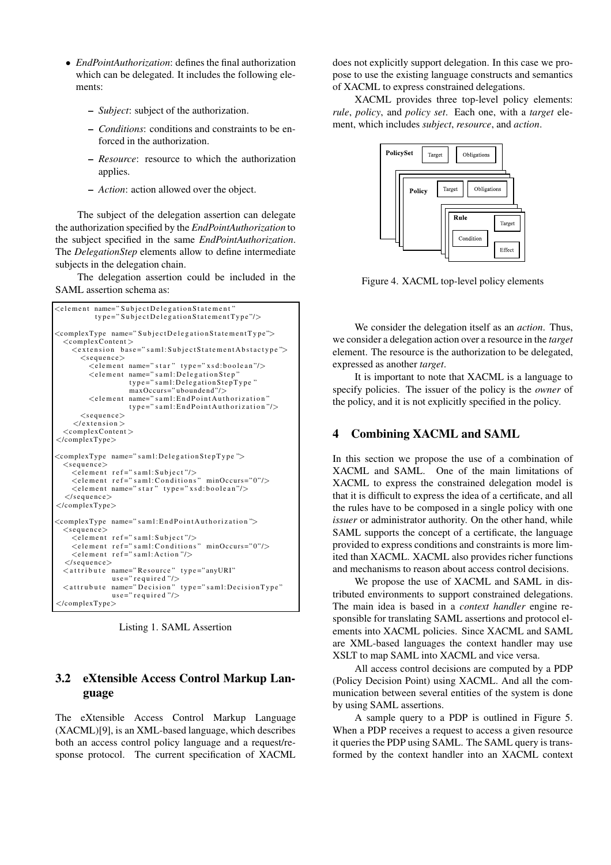- *EndPointAuthorization*: defines the final authorization which can be delegated. It includes the following elements:
	- **–** *Subject*: subject of the authorization.
	- **–** *Conditions*: conditions and constraints to be enforced in the authorization.
	- **–** *Resource*: resource to which the authorization applies.
	- **–** *Action*: action allowed over the object.

The subject of the delegation assertion can delegate the authorization specified by the *EndPointAuthorization* to the subject specified in the same *EndPointAuthorization*. The *DelegationStep* elements allow to define intermediate subjects in the delegation chain.

The delegation assertion could be included in the SAML assertion schema as:

```
\leqe lement name=" Subject De legation Statement
          type="SubjectDe legationStatementType"<complexType name="SubjectDelegationStatementType">
  <complexContent >\leqextension base="saml:SubiectStatementAbstactvne">
      <sequence>\leqelement name=" star" type="xsd:boolean"/>
         \leqelement name="saml:DelegationStep"<br>type="saml:DelegationStepType"
                   maxOccurs=" uboundend"/>
         <element name="saml:EndPointAuthorization"
                    type="sam1:EndPointAuthorization"/>
      \langlesequence\rangle\langle/extension >
  <complexContent >
</complexType>
<complexType name="saml:DelegationStepType">
 \langlesequence\rangle\leqelement ref=" saml: Subject"/>
    \leqelement ref="saml:Conditions" minOccurs="0"/>
    \leqelement name=" star " type=" x s d: boolean"/>
  \langle/sequence>
</complexType>
<complexType name=" sam1: EndPointAuthorization">
  <sequence>\leqelement ref="saml:Subiect"/>
    \leqelement ref="saml:Conditions" minOccurs="0"/>
    \leqelement ref="saml:Action"/>
  \langle/sequence><attribute name="Resource" type="anyURI"
               use=" required "/>
  <attrubute name="Decision" type="saml:DecisionType"
              use=" required "/>
</complexType>
```
Listing 1. SAML Assertion

# **3.2 eXtensible Access Control Markup Language**

The eXtensible Access Control Markup Language (XACML)[9], is an XML-based language, which describes both an access control policy language and a request/response protocol. The current specification of XACML

does not explicitly support delegation. In this case we propose to use the existing language constructs and semantics of XACML to express constrained delegations.

XACML provides three top-level policy elements: *rule*, *policy*, and *policy set*. Each one, with a *target* element, which includes *subject*, *resource*, and *action*.



Figure 4. XACML top-level policy elements

We consider the delegation itself as an *action*. Thus, we consider a delegation action over a resource in the *target* element. The resource is the authorization to be delegated, expressed as another *target*.

It is important to note that XACML is a language to specify policies. The issuer of the policy is the *owner* of the policy, and it is not explicitly specified in the policy.

# **4 Combining XACML and SAML**

In this section we propose the use of a combination of XACML and SAML. One of the main limitations of XACML to express the constrained delegation model is that it is difficult to express the idea of a certificate, and all the rules have to be composed in a single policy with one *issuer* or administrator authority. On the other hand, while SAML supports the concept of a certificate, the language provided to express conditions and constraints is more limited than XACML. XACML also provides richer functions and mechanisms to reason about access control decisions.

We propose the use of XACML and SAML in distributed environments to support constrained delegations. The main idea is based in a *context handler* engine responsible for translating SAML assertions and protocol elements into XACML policies. Since XACML and SAML are XML-based languages the context handler may use XSLT to map SAML into XACML and vice versa.

All access control decisions are computed by a PDP (Policy Decision Point) using XACML. And all the communication between several entities of the system is done by using SAML assertions.

A sample query to a PDP is outlined in Figure 5. When a PDP receives a request to access a given resource it queries the PDP using SAML. The SAML query is transformed by the context handler into an XACML context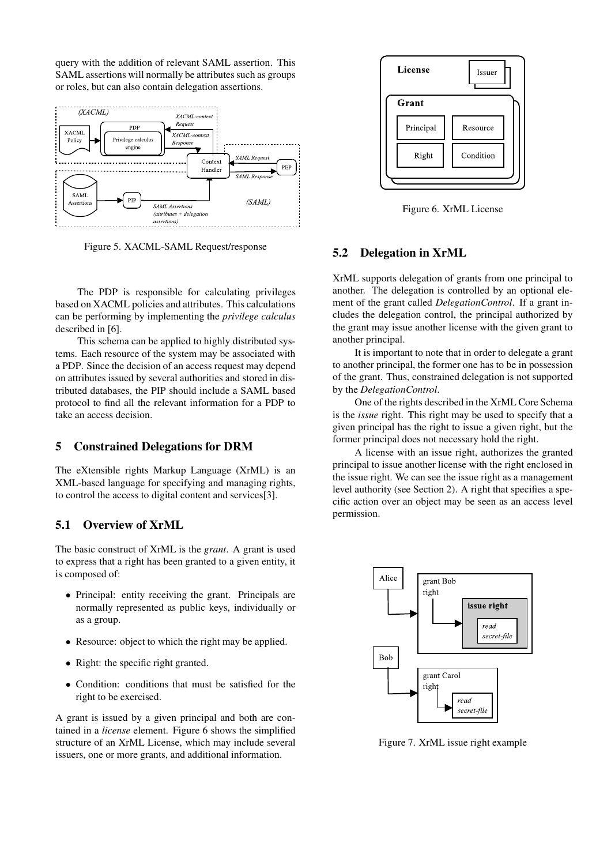query with the addition of relevant SAML assertion. This SAML assertions will normally be attributes such as groups or roles, but can also contain delegation assertions.



Figure 5. XACML-SAML Request/response

The PDP is responsible for calculating privileges based on XACML policies and attributes. This calculations can be performing by implementing the *privilege calculus* described in [6].

This schema can be applied to highly distributed systems. Each resource of the system may be associated with a PDP. Since the decision of an access request may depend on attributes issued by several authorities and stored in distributed databases, the PIP should include a SAML based protocol to find all the relevant information for a PDP to take an access decision.

## **5 Constrained Delegations for DRM**

The eXtensible rights Markup Language (XrML) is an XML-based language for specifying and managing rights, to control the access to digital content and services[3].

# **5.1 Overview of XrML**

The basic construct of XrML is the *grant*. A grant is used to express that a right has been granted to a given entity, it is composed of:

- Principal: entity receiving the grant. Principals are normally represented as public keys, individually or as a group.
- Resource: object to which the right may be applied.
- Right: the specific right granted.
- Condition: conditions that must be satisfied for the right to be exercised.

A grant is issued by a given principal and both are contained in a *license* element. Figure 6 shows the simplified structure of an XrML License, which may include several issuers, one or more grants, and additional information.



Figure 6. XrML License

# **5.2 Delegation in XrML**

XrML supports delegation of grants from one principal to another. The delegation is controlled by an optional element of the grant called *DelegationControl*. If a grant includes the delegation control, the principal authorized by the grant may issue another license with the given grant to another principal.

It is important to note that in order to delegate a grant to another principal, the former one has to be in possession of the grant. Thus, constrained delegation is not supported by the *DelegationControl*.

One of the rights described in the XrML Core Schema is the *issue* right. This right may be used to specify that a given principal has the right to issue a given right, but the former principal does not necessary hold the right.

A license with an issue right, authorizes the granted principal to issue another license with the right enclosed in the issue right. We can see the issue right as a management level authority (see Section 2). A right that specifies a specific action over an object may be seen as an access level permission.



Figure 7. XrML issue right example